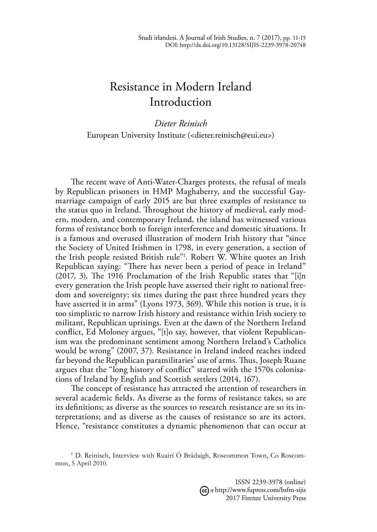## Resistance in Modern Ireland Introduction

*Dieter Reinisch* European University Institute (<dieter.reinisch@eui.eu>)

The recent wave of Anti-Water-Charges protests, the refusal of meals by Republican prisoners in HMP Maghaberry, and the successful Gaymarriage campaign of early 2015 are but three examples of resistance to the status quo in Ireland. Throughout the history of medieval, early modern, modern, and contemporary Ireland, the island has witnessed various forms of resistance both to foreign interference and domestic situations. It is a famous and overused illustration of modern Irish history that "since the Society of United Irishmen in 1798, in every generation, a section of the Irish people resisted British rule"1 . Robert W. White quotes an Irish Republican saying: "There has never been a period of peace in Ireland" (2017, 3). The 1916 Proclamation of the Irish Republic states that "[i]n every generation the Irish people have asserted their right to national freedom and sovereignty; six times during the past three hundred years they have asserted it in arms" (Lyons 1973, 369). While this notion is true, it is too simplistic to narrow Irish history and resistance within Irish society to militant, Republican uprisings. Even at the dawn of the Northern Ireland conflict, Ed Moloney argues, "[t]o say, however, that violent Republicanism was the predominant sentiment among Northern Ireland's Catholics would be wrong" (2007, 37). Resistance in Ireland indeed reaches indeed far beyond the Republican paramilitaries' use of arms. Thus, Joseph Ruane argues that the "long history of conflict" started with the 1570s colonisations of Ireland by English and Scottish settlers (2014, 167).

The concept of resistance has attracted the attention of researchers in several academic fields. As diverse as the forms of resistance takes, so are its definitions; as diverse as the sources to research resistance are so its interpretations; and as diverse as the causes of resistance so are its actors. Hence, "resistance constitutes a dynamic phenomenon that can occur at

ISSN 2239-3978 (online) http://www.fupress.com/bsfm-sijis 2017 Firenze University Press

<sup>&</sup>lt;sup>1</sup> D. Reinisch, Interview with Ruairí Ó Brádaigh, Roscommon Town, Co Roscommon, 5 April 2010.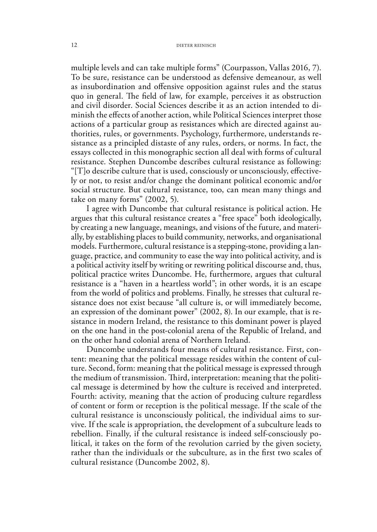multiple levels and can take multiple forms" (Courpasson, Vallas 2016, 7). To be sure, resistance can be understood as defensive demeanour, as well as insubordination and offensive opposition against rules and the status quo in general. The field of law, for example, perceives it as obstruction and civil disorder. Social Sciences describe it as an action intended to diminish the effects of another action, while Political Sciences interpret those actions of a particular group as resistances which are directed against authorities, rules, or governments. Psychology, furthermore, understands resistance as a principled distaste of any rules, orders, or norms. In fact, the essays collected in this monographic section all deal with forms of cultural resistance. Stephen Duncombe describes cultural resistance as following: "[T]o describe culture that is used, consciously or unconsciously, effectively or not, to resist and/or change the dominant political economic and/or social structure. But cultural resistance, too, can mean many things and take on many forms" (2002, 5).

I agree with Duncombe that cultural resistance is political action. He argues that this cultural resistance creates a "free space" both ideologically, by creating a new language, meanings, and visions of the future, and materially, by establishing places to build community, networks, and organisational models. Furthermore, cultural resistance is a stepping-stone, providing a language, practice, and community to ease the way into political activity, and is a political activity itself by writing or rewriting political discourse and, thus, political practice writes Duncombe. He, furthermore, argues that cultural resistance is a "haven in a heartless world"; in other words, it is an escape from the world of politics and problems. Finally, he stresses that cultural resistance does not exist because "all culture is, or will immediately become, an expression of the dominant power" (2002, 8). In our example, that is resistance in modern Ireland, the resistance to this dominant power is played on the one hand in the post-colonial arena of the Republic of Ireland, and on the other hand colonial arena of Northern Ireland.

Duncombe understands four means of cultural resistance. First, content: meaning that the political message resides within the content of culture. Second, form: meaning that the political message is expressed through the medium of transmission. Third, interpretation: meaning that the political message is determined by how the culture is received and interpreted. Fourth: activity, meaning that the action of producing culture regardless of content or form or reception is the political message. If the scale of the cultural resistance is unconsciously political, the individual aims to survive. If the scale is appropriation, the development of a subculture leads to rebellion. Finally, if the cultural resistance is indeed self-consciously political, it takes on the form of the revolution carried by the given society, rather than the individuals or the subculture, as in the first two scales of cultural resistance (Duncombe 2002, 8).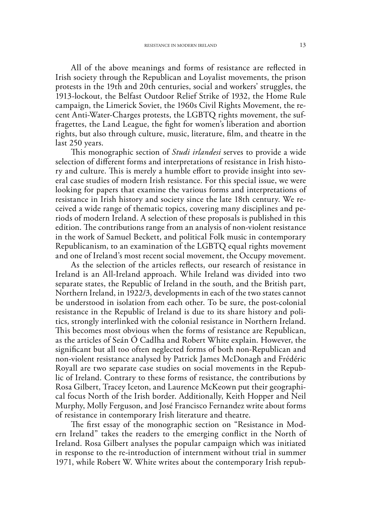All of the above meanings and forms of resistance are reflected in Irish society through the Republican and Loyalist movements, the prison protests in the 19th and 20th centuries, social and workers' struggles, the 1913-lockout, the Belfast Outdoor Relief Strike of 1932, the Home Rule campaign, the Limerick Soviet, the 1960s Civil Rights Movement, the recent Anti-Water-Charges protests, the LGBTQ rights movement, the suffragettes, the Land League, the fight for women's liberation and abortion rights, but also through culture, music, literature, film, and theatre in the last 250 years.

This monographic section of *Studi irlandesi* serves to provide a wide selection of different forms and interpretations of resistance in Irish history and culture. This is merely a humble effort to provide insight into several case studies of modern Irish resistance. For this special issue, we were looking for papers that examine the various forms and interpretations of resistance in Irish history and society since the late 18th century. We received a wide range of thematic topics, covering many disciplines and periods of modern Ireland. A selection of these proposals is published in this edition. The contributions range from an analysis of non-violent resistance in the work of Samuel Beckett, and political Folk music in contemporary Republicanism, to an examination of the LGBTQ equal rights movement and one of Ireland's most recent social movement, the Occupy movement.

As the selection of the articles reflects, our research of resistance in Ireland is an All-Ireland approach. While Ireland was divided into two separate states, the Republic of Ireland in the south, and the British part, Northern Ireland, in 1922/3, developments in each of the two states cannot be understood in isolation from each other. To be sure, the post-colonial resistance in the Republic of Ireland is due to its share history and politics, strongly interlinked with the colonial resistance in Northern Ireland. This becomes most obvious when the forms of resistance are Republican, as the articles of Seán Ó Cadlha and Robert White explain. However, the significant but all too often neglected forms of both non-Republican and non-violent resistance analysed by Patrick James McDonagh and Frédéric Royall are two separate case studies on social movements in the Republic of Ireland. Contrary to these forms of resistance, the contributions by Rosa Gilbert, Tracey Iceton, and Laurence McKeown put their geographical focus North of the Irish border. Additionally, Keith Hopper and Neil Murphy, Molly Ferguson, and José Francisco Fernandez write about forms of resistance in contemporary Irish literature and theatre.

The first essay of the monographic section on "Resistance in Modern Ireland" takes the readers to the emerging conflict in the North of Ireland. Rosa Gilbert analyses the popular campaign which was initiated in response to the re-introduction of internment without trial in summer 1971, while Robert W. White writes about the contemporary Irish repub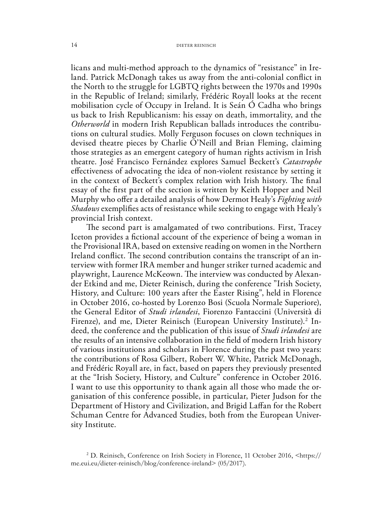licans and multi-method approach to the dynamics of "resistance" in Ireland. Patrick McDonagh takes us away from the anti-colonial conflict in the North to the struggle for LGBTQ rights between the 1970s and 1990s in the Republic of Ireland; similarly, Frédéric Royall looks at the recent mobilisation cycle of Occupy in Ireland. It is Seán Ó Cadha who brings us back to Irish Republicanism: his essay on death, immortality, and the *Otherworld* in modern Irish Republican ballads introduces the contributions on cultural studies. Molly Ferguson focuses on clown techniques in devised theatre pieces by Charlie O'Neill and Brian Fleming, claiming those strategies as an emergent category of human rights activism in Irish theatre. José Francisco Fernández explores Samuel Beckett's *Catastrophe* effectiveness of advocating the idea of non-violent resistance by setting it in the context of Beckett's complex relation with Irish history. The final essay of the first part of the section is written by Keith Hopper and Neil Murphy who offer a detailed analysis of how Dermot Healy's *Fighting with Shadows* exemplifies acts of resistance while seeking to engage with Healy's provincial Irish context.

The second part is amalgamated of two contributions. First, Tracey Iceton provides a fictional account of the experience of being a woman in the Provisional IRA, based on extensive reading on women in the Northern Ireland conflict. The second contribution contains the transcript of an interview with former IRA member and hunger striker turned academic and playwright, Laurence McKeown. The interview was conducted by Alexander Etkind and me, Dieter Reinisch, during the conference "Irish Society, History, and Culture: 100 years after the Easter Rising", held in Florence in October 2016, co-hosted by Lorenzo Bosi (Scuola Normale Superiore), the General Editor of *Studi irlandesi*, Fiorenzo Fantaccini (Università di Firenze), and me, Dieter Reinisch (European University Institute).<sup>2</sup> Indeed, the conference and the publication of this issue of *Studi irlandesi* are the results of an intensive collaboration in the field of modern Irish history of various institutions and scholars in Florence during the past two years: the contributions of Rosa Gilbert, Robert W. White, Patrick McDonagh, and Frédéric Royall are, in fact, based on papers they previously presented at the "Irish Society, History, and Culture" conference in October 2016. I want to use this opportunity to thank again all those who made the organisation of this conference possible, in particular, Pieter Judson for the Department of History and Civilization, and Brigid Laffan for the Robert Schuman Centre for Advanced Studies, both from the European University Institute.

<sup>2</sup> D. Reinisch, Conference on Irish Society in Florence, 11 October 2016, <https:// me.eui.eu/dieter-reinisch/blog/conference-ireland> (05/2017).